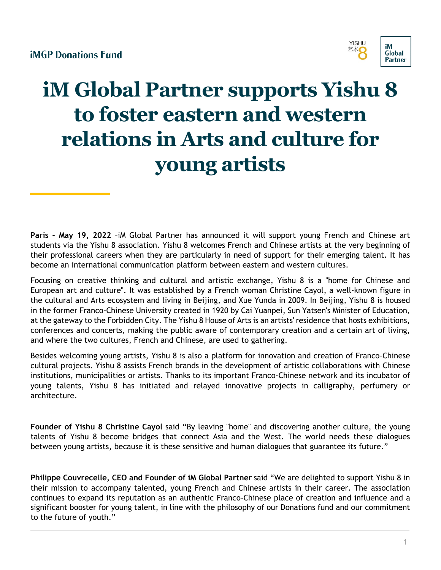

# **iM Global Partner supports Yishu 8 to foster eastern and western relations in Arts and culture for young artists**

**Paris - May 19, 2022** –iM Global Partner has announced it will support young French and Chinese art students via the Yishu 8 association. Yishu 8 welcomes French and Chinese artists at the very beginning of their professional careers when they are particularly in need of support for their emerging talent. It has become an international communication platform between eastern and western cultures.

Focusing on creative thinking and cultural and artistic exchange, Yishu 8 is a "home for Chinese and European art and culture". It was established by a French woman Christine Cayol, a well-known figure in the cultural and Arts ecosystem and living in Beijing, and Xue Yunda in 2009. In Beijing, Yishu 8 is housed in the former Franco-Chinese University created in 1920 by Cai Yuanpei, Sun Yatsen's Minister of Education, at the gateway to the Forbidden City. The Yishu 8 House of Arts is an artists' residence that hosts exhibitions, conferences and concerts, making the public aware of contemporary creation and a certain art of living, and where the two cultures, French and Chinese, are used to gathering.

Besides welcoming young artists, Yishu 8 is also a platform for innovation and creation of Franco-Chinese cultural projects. Yishu 8 assists French brands in the development of artistic collaborations with Chinese institutions, municipalities or artists. Thanks to its important Franco-Chinese network and its incubator of young talents, Yishu 8 has initiated and relayed innovative projects in calligraphy, perfumery or architecture.

**Founder of Yishu 8 Christine Cayol** said "By leaving "home" and discovering another culture, the young talents of Yishu 8 become bridges that connect Asia and the West. The world needs these dialogues between young artists, because it is these sensitive and human dialogues that guarantee its future."

**Philippe Couvrecelle, CEO and Founder of iM Global Partner** said "We are delighted to support Yishu 8 in their mission to accompany talented, young French and Chinese artists in their career. The association continues to expand its reputation as an authentic Franco-Chinese place of creation and influence and a significant booster for young talent, in line with the philosophy of our Donations fund and our commitment to the future of youth."